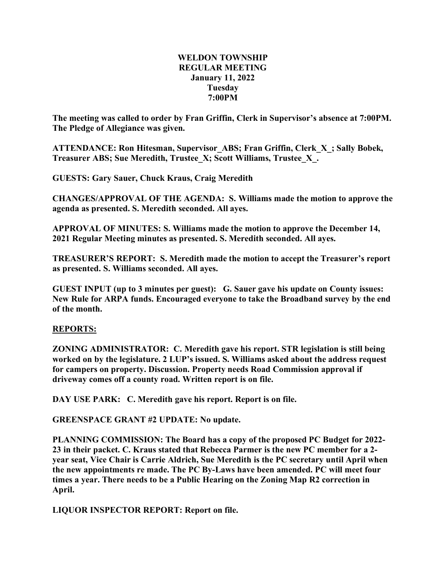## **WELDON TOWNSHIP REGULAR MEETING January 11, 2022 Tuesday 7:00PM**

**The meeting was called to order by Fran Griffin, Clerk in Supervisor's absence at 7:00PM. The Pledge of Allegiance was given.**

**ATTENDANCE: Ron Hitesman, Supervisor\_ABS; Fran Griffin, Clerk\_X\_; Sally Bobek, Treasurer ABS; Sue Meredith, Trustee\_X; Scott Williams, Trustee\_X\_.**

**GUESTS: Gary Sauer, Chuck Kraus, Craig Meredith**

**CHANGES/APPROVAL OF THE AGENDA: S. Williams made the motion to approve the agenda as presented. S. Meredith seconded. All ayes.**

**APPROVAL OF MINUTES: S. Williams made the motion to approve the December 14, 2021 Regular Meeting minutes as presented. S. Meredith seconded. All ayes.**

**TREASURER'S REPORT: S. Meredith made the motion to accept the Treasurer's report as presented. S. Williams seconded. All ayes.**

**GUEST INPUT (up to 3 minutes per guest): G. Sauer gave his update on County issues: New Rule for ARPA funds. Encouraged everyone to take the Broadband survey by the end of the month.**

## **REPORTS:**

**ZONING ADMINISTRATOR: C. Meredith gave his report. STR legislation is still being worked on by the legislature. 2 LUP's issued. S. Williams asked about the address request for campers on property. Discussion. Property needs Road Commission approval if driveway comes off a county road. Written report is on file.**

**DAY USE PARK: C. Meredith gave his report. Report is on file.**

**GREENSPACE GRANT #2 UPDATE: No update.**

**PLANNING COMMISSION: The Board has a copy of the proposed PC Budget for 2022- 23 in their packet. C. Kraus stated that Rebecca Parmer is the new PC member for a 2 year seat, Vice Chair is Carrie Aldrich, Sue Meredith is the PC secretary until April when the new appointments re made. The PC By-Laws have been amended. PC will meet four times a year. There needs to be a Public Hearing on the Zoning Map R2 correction in April.**

**LIQUOR INSPECTOR REPORT: Report on file.**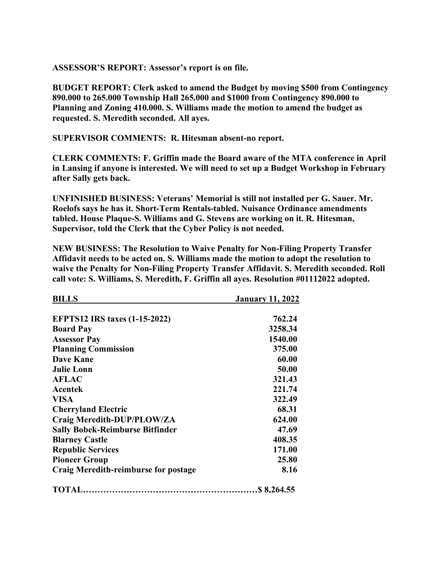**ASSESSOR'S REPORT: Assessor's report is on file.**

**BUDGET REPORT: Clerk asked to amend the Budget by moving \$500 from Contingency 890.000 to 265.000 Township Hall 265.000 and \$1000 from Contingency 890.000 to Planning and Zoning 410.000. S. Williams made the motion to amend the budget as requested. S. Meredith seconded. All ayes.**

**SUPERVISOR COMMENTS: R. Hitesman absent-no report.**

**CLERK COMMENTS: F. Griffin made the Board aware of the MTA conference in April in Lansing if anyone is interested. We will need to set up a Budget Workshop in February after Sally gets back.**

**UNFINISHED BUSINESS: Veterans' Memorial is still not installed per G. Sauer. Mr. Roelofs says he has it. Short-Term Rentals-tabled. Nuisance Ordinance amendments tabled. House Plaque-S. Williams and G. Stevens are working on it. R. Hitesman, Supervisor, told the Clerk that the Cyber Policy is not needed.**

**NEW BUSINESS: The Resolution to Waive Penalty for Non-Filing Property Transfer Affidavit needs to be acted on. S. Williams made the motion to adopt the resolution to waive the Penalty for Non-Filing Property Transfer Affidavit. S. Meredith seconded. Roll call vote: S. Williams, S. Meredith, F. Griffin all ayes. Resolution #01112022 adopted.**

| <b>BILLS</b>                                | <b>January 11, 2022</b> |
|---------------------------------------------|-------------------------|
| <b>EFPTS12 IRS taxes (1-15-2022)</b>        | 762.24                  |
| <b>Board Pay</b>                            | 3258.34                 |
| <b>Assessor Pay</b>                         | 1540.00                 |
| <b>Planning Commission</b>                  | 375.00                  |
| Dave Kane                                   | 60.00                   |
| <b>Julie Lonn</b>                           | 50.00                   |
| <b>AFLAC</b>                                | 321.43                  |
| Acentek                                     | 221.74                  |
| <b>VISA</b>                                 | 322.49                  |
| <b>Cherryland Electric</b>                  | 68.31                   |
| Craig Meredith-DUP/PLOW/ZA                  | 624.00                  |
| <b>Sally Bobek-Reimburse Bitfinder</b>      | 47.69                   |
| <b>Blarney Castle</b>                       | 408.35                  |
| <b>Republic Services</b>                    | 171.00                  |
| <b>Pioneer Group</b>                        | 25.80                   |
| <b>Craig Meredith-reimburse for postage</b> | 8.16                    |
|                                             |                         |